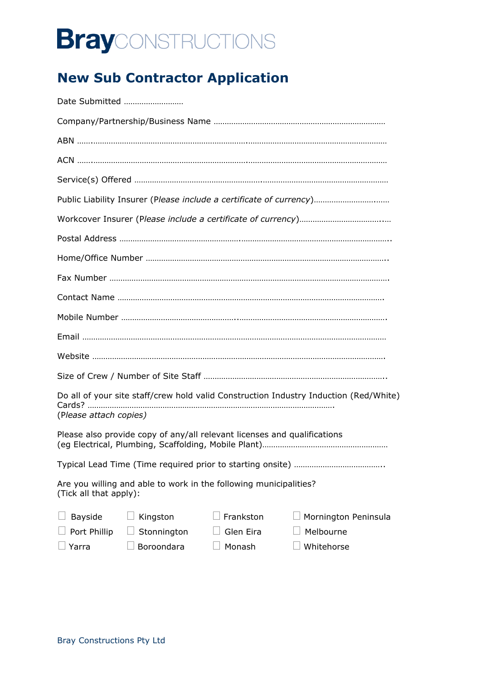# **Bray**CONSTRUCTIONS

### **New Sub Contractor Application**

| Date Submitted                                                                                                                                                          |  |  |
|-------------------------------------------------------------------------------------------------------------------------------------------------------------------------|--|--|
|                                                                                                                                                                         |  |  |
|                                                                                                                                                                         |  |  |
|                                                                                                                                                                         |  |  |
|                                                                                                                                                                         |  |  |
| Public Liability Insurer (Please include a certificate of currency)                                                                                                     |  |  |
|                                                                                                                                                                         |  |  |
|                                                                                                                                                                         |  |  |
|                                                                                                                                                                         |  |  |
|                                                                                                                                                                         |  |  |
|                                                                                                                                                                         |  |  |
|                                                                                                                                                                         |  |  |
|                                                                                                                                                                         |  |  |
|                                                                                                                                                                         |  |  |
|                                                                                                                                                                         |  |  |
| Do all of your site staff/crew hold valid Construction Industry Induction (Red/White)<br>(Please attach copies)                                                         |  |  |
| Please also provide copy of any/all relevant licenses and qualifications                                                                                                |  |  |
|                                                                                                                                                                         |  |  |
| Are you willing and able to work in the following municipalities?<br>(Tick all that apply):                                                                             |  |  |
| Frankston<br><b>Bayside</b><br>Kingston<br>Mornington Peninsula<br>Melbourne<br>Port Phillip<br>Stonnington<br>Glen Eira<br>Boroondara<br>Monash<br>Whitehorse<br>Yarra |  |  |